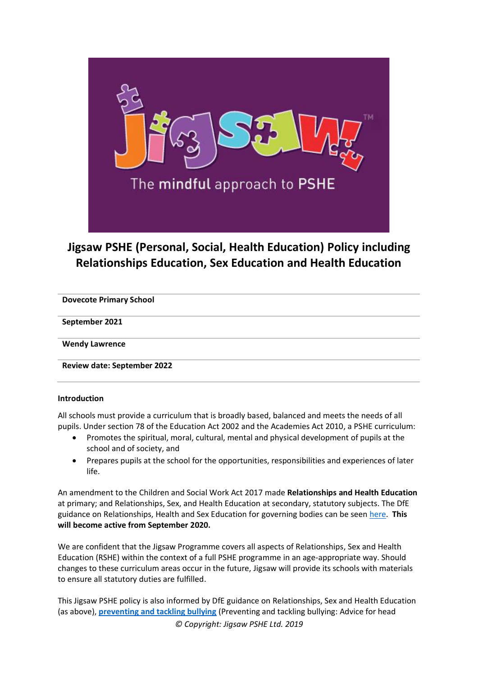

# **Jigsaw PSHE (Personal, Social, Health Education) Policy including Relationships Education, Sex Education and Health Education**

**Dovecote Primary School**

**September 2021**

**Wendy Lawrence**

**Review date: September 2022**

#### **Introduction**

All schools must provide a curriculum that is broadly based, balanced and meets the needs of all pupils. Under section 78 of the Education Act 2002 and the Academies Act 2010, a PSHE curriculum:

- Promotes the spiritual, moral, cultural, mental and physical development of pupils at the school and of society, and
- Prepares pupils at the school for the opportunities, responsibilities and experiences of later life.

An amendment to the Children and Social Work Act 2017 made **Relationships and Health Education** at primary; and Relationships, Sex, and Health Education at secondary, statutory subjects. The DfE guidance on Relationships, Health and Sex Education for governing bodies can be seen [here.](https://assets.publishing.service.gov.uk/government/uploads/system/uploads/attachment_data/file/805781/Relationships_Education__Relationships_and_Sex_Education__RSE__and_Health_Education.pdf) **This will become active from September 2020.**

We are confident that the Jigsaw Programme covers all aspects of Relationships, Sex and Health Education (RSHE) within the context of a full PSHE programme in an age-appropriate way. Should changes to these curriculum areas occur in the future, Jigsaw will provide its schools with materials to ensure all statutory duties are fulfilled.

*© Copyright: Jigsaw PSHE Ltd. 2019* This Jigsaw PSHE policy is also informed by DfE guidance on Relationships, Sex and Health Education (as above), **[preventing and tackling bullying](http://www.education.gov.uk/aboutdfe/advice/f0076899/preventing-and-tackling-bullying)** (Preventing and tackling bullying: Advice for head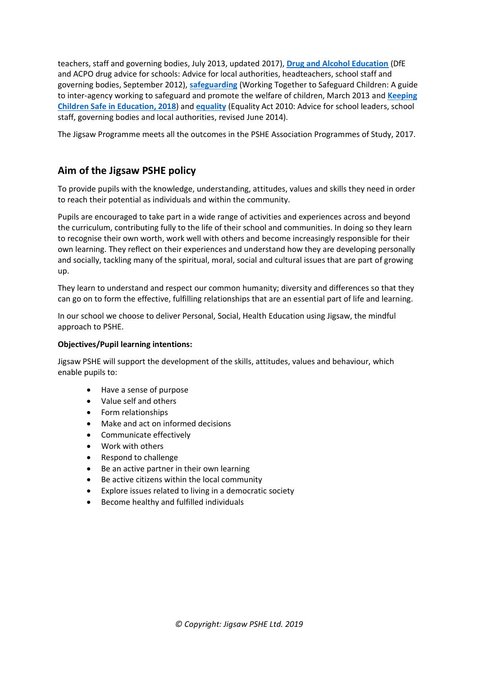teachers, staff and governing bodies, July 2013, updated 2017), **[Drug and Alcohol Education](https://www.gov.uk/government/publications/dfe-and-acpo-drug-advice-for-schools)** (DfE and ACPO drug advice for schools: Advice for local authorities, headteachers, school staff and governing bodies, September 2012), **[safeguarding](http://www.education.gov.uk/schools/guidanceandadvice?f_category=Safeguarding&page=1)** (Working Together to Safeguard Children: A guide to inter-agency working to safeguard and promote the welfare of children, March 2013 and **[Keeping](https://www.gov.uk/government/publications/keeping-children-safe-in-education--2)  [Children Safe in Education, 2018](https://www.gov.uk/government/publications/keeping-children-safe-in-education--2)**) and **[equality](http://www.education.gov.uk/aboutdfe/advice/f00215460/equality-act-2010-departmental-advice)** (Equality Act 2010: Advice for school leaders, school staff, governing bodies and local authorities, revised June 2014).

The Jigsaw Programme meets all the outcomes in the PSHE Association Programmes of Study, 2017.

# **Aim of the Jigsaw PSHE policy**

To provide pupils with the knowledge, understanding, attitudes, values and skills they need in order to reach their potential as individuals and within the community.

Pupils are encouraged to take part in a wide range of activities and experiences across and beyond the curriculum, contributing fully to the life of their school and communities. In doing so they learn to recognise their own worth, work well with others and become increasingly responsible for their own learning. They reflect on their experiences and understand how they are developing personally and socially, tackling many of the spiritual, moral, social and cultural issues that are part of growing up.

They learn to understand and respect our common humanity; diversity and differences so that they can go on to form the effective, fulfilling relationships that are an essential part of life and learning.

In our school we choose to deliver Personal, Social, Health Education using Jigsaw, the mindful approach to PSHE.

#### **Objectives/Pupil learning intentions:**

Jigsaw PSHE will support the development of the skills, attitudes, values and behaviour, which enable pupils to:

- Have a sense of purpose
- Value self and others
- Form relationships
- Make and act on informed decisions
- Communicate effectively
- Work with others
- Respond to challenge
- Be an active partner in their own learning
- Be active citizens within the local community
- Explore issues related to living in a democratic society
- Become healthy and fulfilled individuals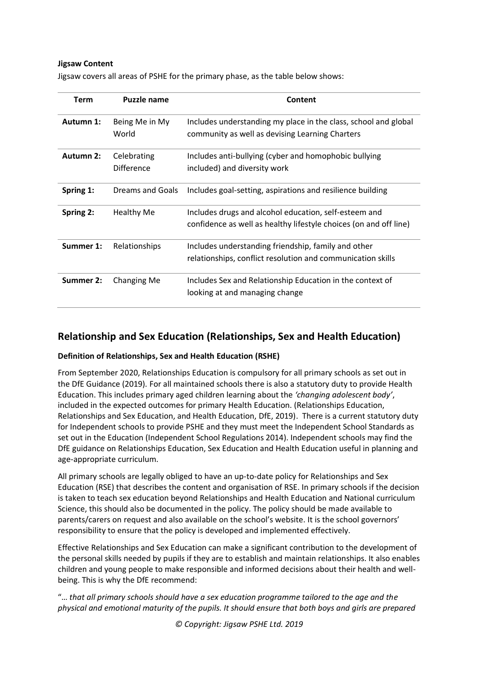#### **Jigsaw Content**

| <b>Term</b> | Puzzle name                      | Content                                                                                                                    |
|-------------|----------------------------------|----------------------------------------------------------------------------------------------------------------------------|
| Autumn 1:   | Being Me in My<br>World          | Includes understanding my place in the class, school and global<br>community as well as devising Learning Charters         |
| Autumn 2:   | Celebrating<br><b>Difference</b> | Includes anti-bullying (cyber and homophobic bullying<br>included) and diversity work                                      |
| Spring 1:   | Dreams and Goals                 | Includes goal-setting, aspirations and resilience building                                                                 |
| Spring 2:   | <b>Healthy Me</b>                | Includes drugs and alcohol education, self-esteem and<br>confidence as well as healthy lifestyle choices (on and off line) |
| Summer 1:   | Relationships                    | Includes understanding friendship, family and other<br>relationships, conflict resolution and communication skills         |
| Summer 2:   | Changing Me                      | Includes Sex and Relationship Education in the context of<br>looking at and managing change                                |

Jigsaw covers all areas of PSHE for the primary phase, as the table below shows:

# **Relationship and Sex Education (Relationships, Sex and Health Education)**

## **Definition of Relationships, Sex and Health Education (RSHE)**

From September 2020, Relationships Education is compulsory for all primary schools as set out in the DfE Guidance (2019). For all maintained schools there is also a statutory duty to provide Health Education. This includes primary aged children learning about the *'changing adolescent body'*, included in the expected outcomes for primary Health Education. (Relationships Education, Relationships and Sex Education, and Health Education, DfE, 2019). There is a current statutory duty for Independent schools to provide PSHE and they must meet the Independent School Standards as set out in the Education (Independent School Regulations 2014). Independent schools may find the DfE guidance on Relationships Education, Sex Education and Health Education useful in planning and age-appropriate curriculum.

All primary schools are legally obliged to have an up-to-date policy for Relationships and Sex Education (RSE) that describes the content and organisation of RSE. In primary schools if the decision is taken to teach sex education beyond Relationships and Health Education and National curriculum Science, this should also be documented in the policy. The policy should be made available to parents/carers on request and also available on the school's website. It is the school governors' responsibility to ensure that the policy is developed and implemented effectively.

Effective Relationships and Sex Education can make a significant contribution to the development of the personal skills needed by pupils if they are to establish and maintain relationships. It also enables children and young people to make responsible and informed decisions about their health and wellbeing. This is why the DfE recommend:

"… *that all primary schools should have a sex education programme tailored to the age and the physical and emotional maturity of the pupils. It should ensure that both boys and girls are prepared*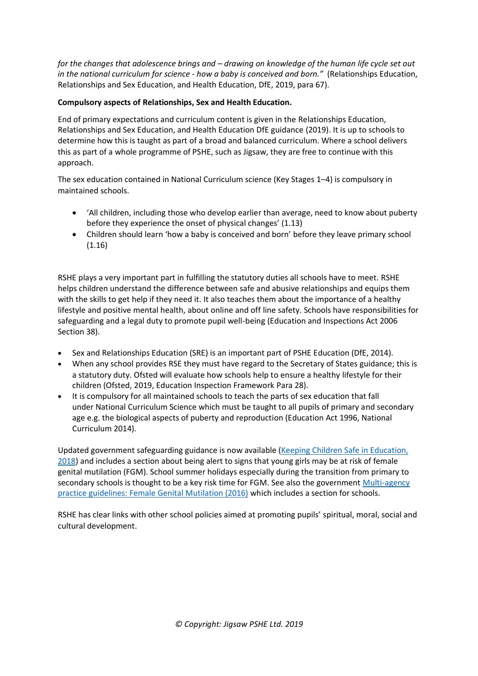*for the changes that adolescence brings and – drawing on knowledge of the human life cycle set out in the national curriculum for science - how a baby is conceived and born."* (Relationships Education, Relationships and Sex Education, and Health Education, DfE, 2019, para 67).

# **Compulsory aspects of Relationships, Sex and Health Education.**

End of primary expectations and curriculum content is given in the Relationships Education, Relationships and Sex Education, and Health Education DfE guidance (2019). It is up to schools to determine how this is taught as part of a broad and balanced curriculum. Where a school delivers this as part of a whole programme of PSHE, such as Jigsaw, they are free to continue with this approach.

The sex education contained in National Curriculum science (Key Stages 1–4) is compulsory in maintained schools.

- 'All children, including those who develop earlier than average, need to know about puberty before they experience the onset of physical changes' (1.13)
- Children should learn 'how a baby is conceived and born' before they leave primary school (1.16)

RSHE plays a very important part in fulfilling the statutory duties all schools have to meet. RSHE helps children understand the difference between safe and abusive relationships and equips them with the skills to get help if they need it. It also teaches them about the importance of a healthy lifestyle and positive mental health, about online and off line safety. Schools have responsibilities for safeguarding and a legal duty to promote pupil well-being (Education and Inspections Act 2006 Section 38).

- Sex and Relationships Education (SRE) is an important part of PSHE Education (DfE, 2014).
- When any school provides RSE they must have regard to the Secretary of States guidance; this is a statutory duty. Ofsted will evaluate how schools help to ensure a healthy lifestyle for their children (Ofsted, 2019, Education Inspection Framework Para 28).
- It is compulsory for all maintained schools to teach the parts of sex education that fall under National Curriculum Science which must be taught to all pupils of primary and secondary age e.g. the biological aspects of puberty and reproduction (Education Act 1996, National Curriculum 2014).

Updated government safeguarding guidance is now available [\(Keeping Children Safe in Education,](https://www.gov.uk/government/publications/keeping-children-safe-in-education--2)  [2018](https://www.gov.uk/government/publications/keeping-children-safe-in-education--2)) and includes a section about being alert to signs that young girls may be at risk of female genital mutilation (FGM). School summer holidays especially during the transition from primary to secondary schools is thought to be a key risk time for FGM. See also the governmen[t Multi-agency](https://www.gov.uk/government/publications/multi-agency-statutory-guidance-on-female-genital-mutilation)  practice guidelines: [Female Genital Mutilation \(2016\)](https://www.gov.uk/government/publications/multi-agency-statutory-guidance-on-female-genital-mutilation) which includes a section for schools.

RSHE has clear links with other school policies aimed at promoting pupils' spiritual, moral, social and cultural development.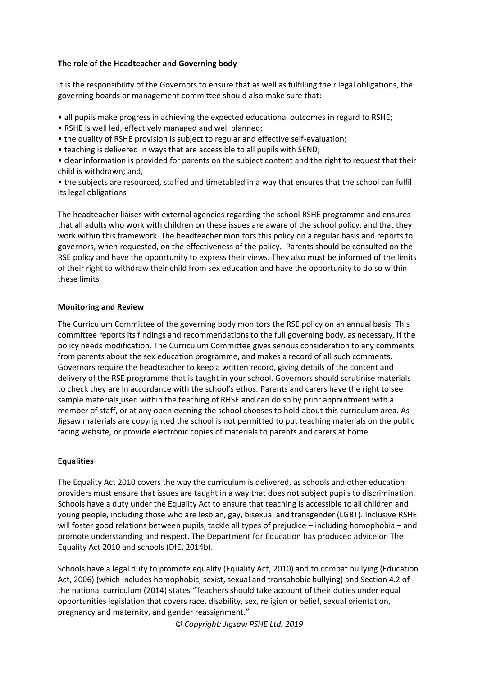#### **The role of the Headteacher and Governing body**

It is the responsibility of the Governors to ensure that as well as fulfilling their legal obligations, the governing boards or management committee should also make sure that:

- all pupils make progress in achieving the expected educational outcomes in regard to RSHE;
- RSHE is well led, effectively managed and well planned;
- the quality of RSHE provision is subject to regular and effective self-evaluation;
- teaching is delivered in ways that are accessible to all pupils with SEND;

• clear information is provided for parents on the subject content and the right to request that their child is withdrawn; and,

• the subjects are resourced, staffed and timetabled in a way that ensures that the school can fulfil its legal obligations

The headteacher liaises with external agencies regarding the school RSHE programme and ensures that all adults who work with children on these issues are aware of the school policy, and that they work within this framework. The headteacher monitors this policy on a regular basis and reports to governors, when requested, on the effectiveness of the policy. Parents should be consulted on the RSE policy and have the opportunity to express their views. They also must be informed of the limits of their right to withdraw their child from sex education and have the opportunity to do so within these limits.

#### **Monitoring and Review**

The Curriculum Committee of the governing body monitors the RSE policy on an annual basis. This committee reports its findings and recommendations to the full governing body, as necessary, if the policy needs modification. The Curriculum Committee gives serious consideration to any comments from parents about the sex education programme, and makes a record of all such comments. Governors require the headteacher to keep a written record, giving details of the content and delivery of the RSE programme that is taught in your school. Governors should scrutinise materials to check they are in accordance with the school's ethos. Parents and carers have the right to see sample materials used within the teaching of RHSE and can do so by prior appointment with a member of staff, or at any open evening the school chooses to hold about this curriculum area. As Jigsaw materials are copyrighted the school is not permitted to put teaching materials on the public facing website, or provide electronic copies of materials to parents and carers at home.

## **Equalities**

The Equality Act 2010 covers the way the curriculum is delivered, as schools and other education providers must ensure that issues are taught in a way that does not subject pupils to discrimination. Schools have a duty under the Equality Act to ensure that teaching is accessible to all children and young people, including those who are lesbian, gay, bisexual and transgender (LGBT). Inclusive RSHE will foster good relations between pupils, tackle all types of prejudice – including homophobia – and promote understanding and respect. The Department for Education has produced advice on The Equality Act 2010 and schools (DfE, 2014b).

Schools have a legal duty to promote equality (Equality Act, 2010) and to combat bullying (Education Act, 2006) (which includes homophobic, sexist, sexual and transphobic bullying) and Section 4.2 of the national curriculum (2014) states "Teachers should take account of their duties under equal opportunities legislation that covers race, disability, sex, religion or belief, sexual orientation, pregnancy and maternity, and gender reassignment."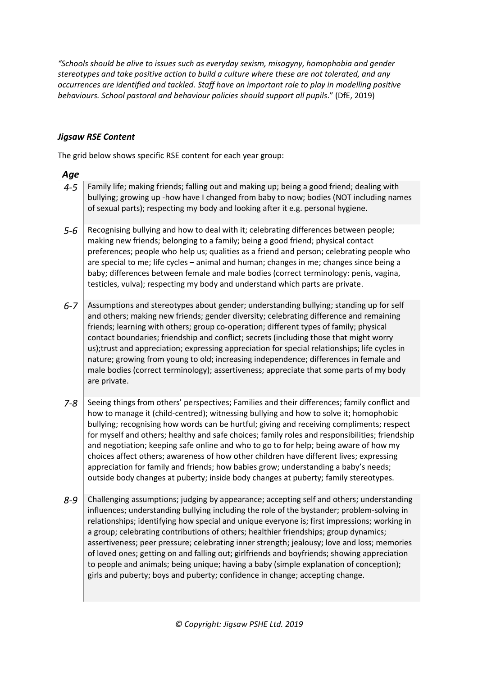*"Schools should be alive to issues such as everyday sexism, misogyny, homophobia and gender stereotypes and take positive action to build a culture where these are not tolerated, and any occurrences are identified and tackled. Staff have an important role to play in modelling positive behaviours. School pastoral and behaviour policies should support all pupils*." (DfE, 2019)

# *Jigsaw RSE Content*

The grid below shows specific RSE content for each year group:

| Age     |                                                                                                                                                                                                                                                                                                                                                                                                                                                                                                                                                                                                                                                                                                                                                         |
|---------|---------------------------------------------------------------------------------------------------------------------------------------------------------------------------------------------------------------------------------------------------------------------------------------------------------------------------------------------------------------------------------------------------------------------------------------------------------------------------------------------------------------------------------------------------------------------------------------------------------------------------------------------------------------------------------------------------------------------------------------------------------|
| $4 - 5$ | Family life; making friends; falling out and making up; being a good friend; dealing with<br>bullying; growing up -how have I changed from baby to now; bodies (NOT including names<br>of sexual parts); respecting my body and looking after it e.g. personal hygiene.                                                                                                                                                                                                                                                                                                                                                                                                                                                                                 |
| $5 - 6$ | Recognising bullying and how to deal with it; celebrating differences between people;<br>making new friends; belonging to a family; being a good friend; physical contact<br>preferences; people who help us; qualities as a friend and person; celebrating people who<br>are special to me; life cycles - animal and human; changes in me; changes since being a<br>baby; differences between female and male bodies (correct terminology: penis, vagina,<br>testicles, vulva); respecting my body and understand which parts are private.                                                                                                                                                                                                             |
| $6 - 7$ | Assumptions and stereotypes about gender; understanding bullying; standing up for self<br>and others; making new friends; gender diversity; celebrating difference and remaining<br>friends; learning with others; group co-operation; different types of family; physical<br>contact boundaries; friendship and conflict; secrets (including those that might worry<br>us);trust and appreciation; expressing appreciation for special relationships; life cycles in<br>nature; growing from young to old; increasing independence; differences in female and<br>male bodies (correct terminology); assertiveness; appreciate that some parts of my body<br>are private.                                                                               |
| $7 - 8$ | Seeing things from others' perspectives; Families and their differences; family conflict and<br>how to manage it (child-centred); witnessing bullying and how to solve it; homophobic<br>bullying; recognising how words can be hurtful; giving and receiving compliments; respect<br>for myself and others; healthy and safe choices; family roles and responsibilities; friendship<br>and negotiation; keeping safe online and who to go to for help; being aware of how my<br>choices affect others; awareness of how other children have different lives; expressing<br>appreciation for family and friends; how babies grow; understanding a baby's needs;<br>outside body changes at puberty; inside body changes at puberty; family stereotypes. |
| $8 - 9$ | Challenging assumptions; judging by appearance; accepting self and others; understanding<br>influences; understanding bullying including the role of the bystander; problem-solving in<br>relationships; identifying how special and unique everyone is; first impressions; working in<br>a group; celebrating contributions of others; healthier friendships; group dynamics;<br>assertiveness; peer pressure; celebrating inner strength; jealousy; love and loss; memories<br>of loved ones; getting on and falling out; girlfriends and boyfriends; showing appreciation<br>to people and animals; being unique; having a baby (simple explanation of conception);<br>girls and puberty; boys and puberty; confidence in change; accepting change.  |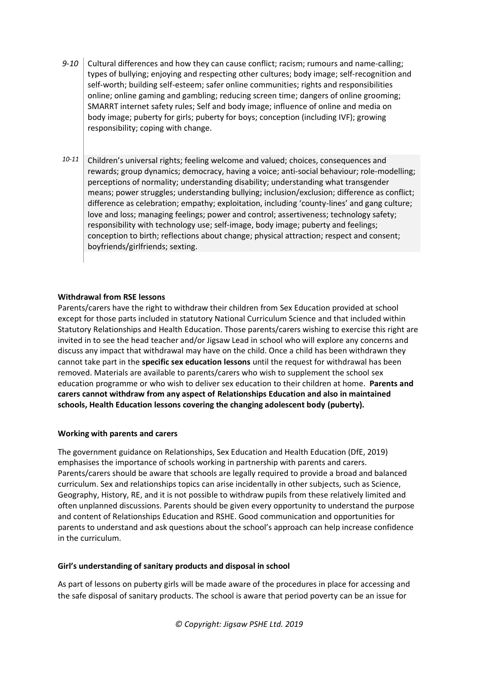- 9-10 Cultural differences and how they can cause conflict; racism; rumours and name-calling; types of bullying; enjoying and respecting other cultures; body image; self-recognition and self-worth; building self-esteem; safer online communities; rights and responsibilities online; online gaming and gambling; reducing screen time; dangers of online grooming; SMARRT internet safety rules; Self and body image; influence of online and media on body image; puberty for girls; puberty for boys; conception (including IVF); growing responsibility; coping with change.
- 10-11 Children's universal rights; feeling welcome and valued; choices, consequences and rewards; group dynamics; democracy, having a voice; anti-social behaviour; role-modelling; perceptions of normality; understanding disability; understanding what transgender means; power struggles; understanding bullying; inclusion/exclusion; difference as conflict; difference as celebration; empathy; exploitation, including 'county-lines' and gang culture; love and loss; managing feelings; power and control; assertiveness; technology safety; responsibility with technology use; self-image, body image; puberty and feelings; conception to birth; reflections about change; physical attraction; respect and consent; boyfriends/girlfriends; sexting.

#### **Withdrawal from RSE lessons**

Parents/carers have the right to withdraw their children from Sex Education provided at school except for those parts included in statutory National Curriculum Science and that included within Statutory Relationships and Health Education. Those parents/carers wishing to exercise this right are invited in to see the head teacher and/or Jigsaw Lead in school who will explore any concerns and discuss any impact that withdrawal may have on the child. Once a child has been withdrawn they cannot take part in the **specific sex education lessons** until the request for withdrawal has been removed. Materials are available to parents/carers who wish to supplement the school sex education programme or who wish to deliver sex education to their children at home. **Parents and carers cannot withdraw from any aspect of Relationships Education and also in maintained schools, Health Education lessons covering the changing adolescent body (puberty).**

#### **Working with parents and carers**

The government guidance on Relationships, Sex Education and Health Education (DfE, 2019) emphasises the importance of schools working in partnership with parents and carers. Parents/carers should be aware that schools are legally required to provide a broad and balanced curriculum. Sex and relationships topics can arise incidentally in other subjects, such as Science, Geography, History, RE, and it is not possible to withdraw pupils from these relatively limited and often unplanned discussions. Parents should be given every opportunity to understand the purpose and content of Relationships Education and RSHE. Good communication and opportunities for parents to understand and ask questions about the school's approach can help increase confidence in the curriculum.

#### **Girl's understanding of sanitary products and disposal in school**

As part of lessons on puberty girls will be made aware of the procedures in place for accessing and the safe disposal of sanitary products. The school is aware that period poverty can be an issue for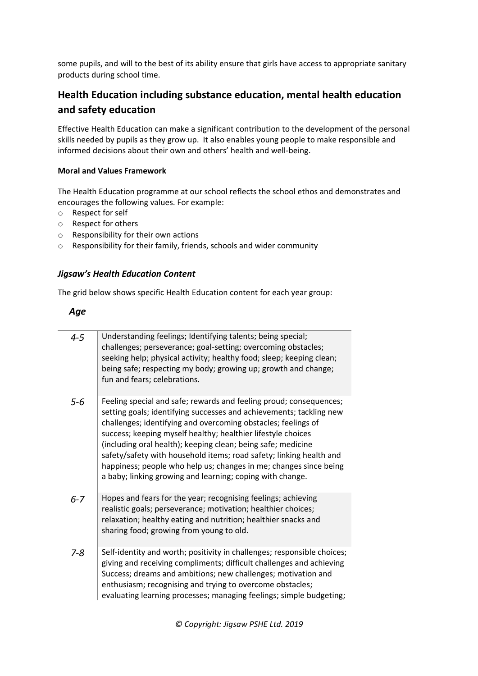some pupils, and will to the best of its ability ensure that girls have access to appropriate sanitary products during school time.

# **Health Education including substance education, mental health education and safety education**

Effective Health Education can make a significant contribution to the development of the personal skills needed by pupils as they grow up. It also enables young people to make responsible and informed decisions about their own and others' health and well-being.

## **Moral and Values Framework**

The Health Education programme at our school reflects the school ethos and demonstrates and encourages the following values. For example:

- o Respect for self
- o Respect for others
- o Responsibility for their own actions
- o Responsibility for their family, friends, schools and wider community

## *Jigsaw's Health Education Content*

The grid below shows specific Health Education content for each year group:

# *Age*

| $4 - 5$ | Understanding feelings; Identifying talents; being special;<br>challenges; perseverance; goal-setting; overcoming obstacles;<br>seeking help; physical activity; healthy food; sleep; keeping clean;<br>being safe; respecting my body; growing up; growth and change;<br>fun and fears; celebrations.                                                                                                                                                                                                                                              |
|---------|-----------------------------------------------------------------------------------------------------------------------------------------------------------------------------------------------------------------------------------------------------------------------------------------------------------------------------------------------------------------------------------------------------------------------------------------------------------------------------------------------------------------------------------------------------|
| $5 - 6$ | Feeling special and safe; rewards and feeling proud; consequences;<br>setting goals; identifying successes and achievements; tackling new<br>challenges; identifying and overcoming obstacles; feelings of<br>success; keeping myself healthy; healthier lifestyle choices<br>(including oral health); keeping clean; being safe; medicine<br>safety/safety with household items; road safety; linking health and<br>happiness; people who help us; changes in me; changes since being<br>a baby; linking growing and learning; coping with change. |
| $6 - 7$ | Hopes and fears for the year; recognising feelings; achieving<br>realistic goals; perseverance; motivation; healthier choices;<br>relaxation; healthy eating and nutrition; healthier snacks and<br>sharing food; growing from young to old.                                                                                                                                                                                                                                                                                                        |
| $7 - 8$ | Self-identity and worth; positivity in challenges; responsible choices;<br>giving and receiving compliments; difficult challenges and achieving<br>Success; dreams and ambitions; new challenges; motivation and<br>enthusiasm; recognising and trying to overcome obstacles;<br>evaluating learning processes; managing feelings; simple budgeting;                                                                                                                                                                                                |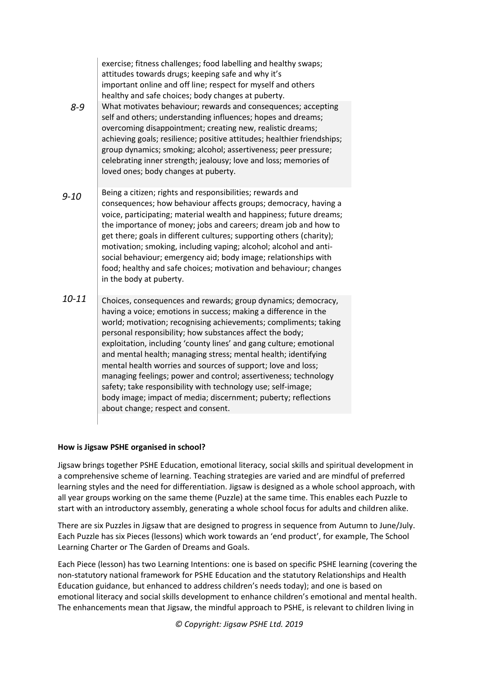|           | exercise; fitness challenges; food labelling and healthy swaps;<br>attitudes towards drugs; keeping safe and why it's<br>important online and off line; respect for myself and others<br>healthy and safe choices; body changes at puberty.                                                                                                                                                                                                                                                                                                                                                                                                                                                                         |
|-----------|---------------------------------------------------------------------------------------------------------------------------------------------------------------------------------------------------------------------------------------------------------------------------------------------------------------------------------------------------------------------------------------------------------------------------------------------------------------------------------------------------------------------------------------------------------------------------------------------------------------------------------------------------------------------------------------------------------------------|
| 8-9       | What motivates behaviour; rewards and consequences; accepting<br>self and others; understanding influences; hopes and dreams;<br>overcoming disappointment; creating new, realistic dreams;<br>achieving goals; resilience; positive attitudes; healthier friendships;<br>group dynamics; smoking; alcohol; assertiveness; peer pressure;<br>celebrating inner strength; jealousy; love and loss; memories of<br>loved ones; body changes at puberty.                                                                                                                                                                                                                                                               |
| $9 - 10$  | Being a citizen; rights and responsibilities; rewards and<br>consequences; how behaviour affects groups; democracy, having a<br>voice, participating; material wealth and happiness; future dreams;<br>the importance of money; jobs and careers; dream job and how to<br>get there; goals in different cultures; supporting others (charity);<br>motivation; smoking, including vaping; alcohol; alcohol and anti-<br>social behaviour; emergency aid; body image; relationships with<br>food; healthy and safe choices; motivation and behaviour; changes<br>in the body at puberty.                                                                                                                              |
| $10 - 11$ | Choices, consequences and rewards; group dynamics; democracy,<br>having a voice; emotions in success; making a difference in the<br>world; motivation; recognising achievements; compliments; taking<br>personal responsibility; how substances affect the body;<br>exploitation, including 'county lines' and gang culture; emotional<br>and mental health; managing stress; mental health; identifying<br>mental health worries and sources of support; love and loss;<br>managing feelings; power and control; assertiveness; technology<br>safety; take responsibility with technology use; self-image;<br>body image; impact of media; discernment; puberty; reflections<br>about change; respect and consent. |

## **How is Jigsaw PSHE organised in school?**

Jigsaw brings together PSHE Education, emotional literacy, social skills and spiritual development in a comprehensive scheme of learning. Teaching strategies are varied and are mindful of preferred learning styles and the need for differentiation. Jigsaw is designed as a whole school approach, with all year groups working on the same theme (Puzzle) at the same time. This enables each Puzzle to start with an introductory assembly, generating a whole school focus for adults and children alike.

There are six Puzzles in Jigsaw that are designed to progress in sequence from Autumn to June/July. Each Puzzle has six Pieces (lessons) which work towards an 'end product', for example, The School Learning Charter or The Garden of Dreams and Goals.

Each Piece (lesson) has two Learning Intentions: one is based on specific PSHE learning (covering the non-statutory national framework for PSHE Education and the statutory Relationships and Health Education guidance, but enhanced to address children's needs today); and one is based on emotional literacy and social skills development to enhance children's emotional and mental health. The enhancements mean that Jigsaw, the mindful approach to PSHE, is relevant to children living in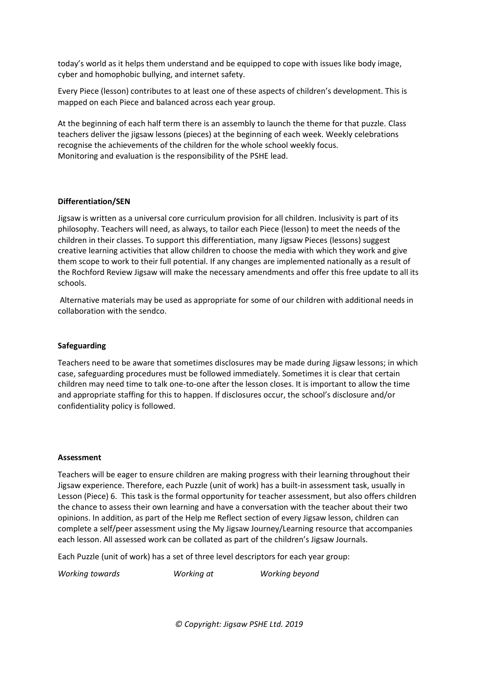today's world as it helps them understand and be equipped to cope with issues like body image, cyber and homophobic bullying, and internet safety.

Every Piece (lesson) contributes to at least one of these aspects of children's development. This is mapped on each Piece and balanced across each year group.

At the beginning of each half term there is an assembly to launch the theme for that puzzle. Class teachers deliver the jigsaw lessons (pieces) at the beginning of each week. Weekly celebrations recognise the achievements of the children for the whole school weekly focus. Monitoring and evaluation is the responsibility of the PSHE lead.

#### **Differentiation/SEN**

Jigsaw is written as a universal core curriculum provision for all children. Inclusivity is part of its philosophy. Teachers will need, as always, to tailor each Piece (lesson) to meet the needs of the children in their classes. To support this differentiation, many Jigsaw Pieces (lessons) suggest creative learning activities that allow children to choose the media with which they work and give them scope to work to their full potential. If any changes are implemented nationally as a result of the Rochford Review Jigsaw will make the necessary amendments and offer this free update to all its schools.

Alternative materials may be used as appropriate for some of our children with additional needs in collaboration with the sendco.

#### **Safeguarding**

Teachers need to be aware that sometimes disclosures may be made during Jigsaw lessons; in which case, safeguarding procedures must be followed immediately. Sometimes it is clear that certain children may need time to talk one-to-one after the lesson closes. It is important to allow the time and appropriate staffing for this to happen. If disclosures occur, the school's disclosure and/or confidentiality policy is followed.

#### **Assessment**

Teachers will be eager to ensure children are making progress with their learning throughout their Jigsaw experience. Therefore, each Puzzle (unit of work) has a built-in assessment task, usually in Lesson (Piece) 6. This task is the formal opportunity for teacher assessment, but also offers children the chance to assess their own learning and have a conversation with the teacher about their two opinions. In addition, as part of the Help me Reflect section of every Jigsaw lesson, children can complete a self/peer assessment using the My Jigsaw Journey/Learning resource that accompanies each lesson. All assessed work can be collated as part of the children's Jigsaw Journals.

Each Puzzle (unit of work) has a set of three level descriptors for each year group:

*Working towards Working at Working beyond*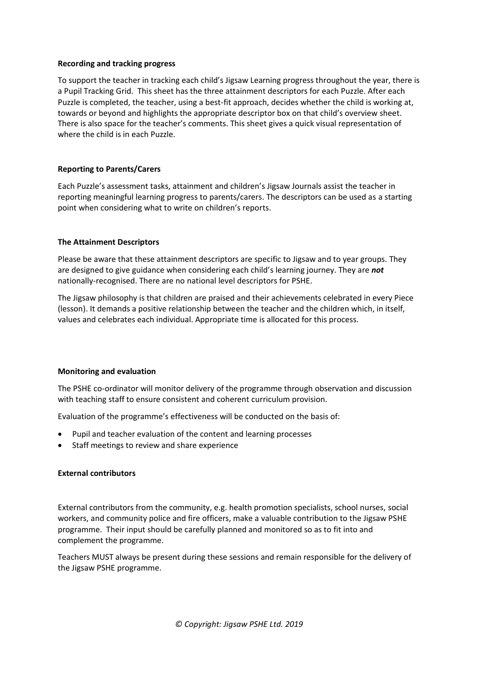#### **Recording and tracking progress**

To support the teacher in tracking each child's Jigsaw Learning progress throughout the year, there is a Pupil Tracking Grid. This sheet has the three attainment descriptors for each Puzzle. After each Puzzle is completed, the teacher, using a best-fit approach, decides whether the child is working at, towards or beyond and highlights the appropriate descriptor box on that child's overview sheet. There is also space for the teacher's comments. This sheet gives a quick visual representation of where the child is in each Puzzle.

#### **Reporting to Parents/Carers**

Each Puzzle's assessment tasks, attainment and children's Jigsaw Journals assist the teacher in reporting meaningful learning progress to parents/carers. The descriptors can be used as a starting point when considering what to write on children's reports.

#### **The Attainment Descriptors**

Please be aware that these attainment descriptors are specific to Jigsaw and to year groups. They are designed to give guidance when considering each child's learning journey. They are *not* nationally-recognised. There are no national level descriptors for PSHE.

The Jigsaw philosophy is that children are praised and their achievements celebrated in every Piece (lesson). It demands a positive relationship between the teacher and the children which, in itself, values and celebrates each individual. Appropriate time is allocated for this process.

#### **Monitoring and evaluation**

The PSHE co-ordinator will monitor delivery of the programme through observation and discussion with teaching staff to ensure consistent and coherent curriculum provision.

Evaluation of the programme's effectiveness will be conducted on the basis of:

- Pupil and teacher evaluation of the content and learning processes
- Staff meetings to review and share experience

#### **External contributors**

External contributors from the community, e.g. health promotion specialists, school nurses, social workers, and community police and fire officers, make a valuable contribution to the Jigsaw PSHE programme. Their input should be carefully planned and monitored so as to fit into and complement the programme.

Teachers MUST always be present during these sessions and remain responsible for the delivery of the Jigsaw PSHE programme.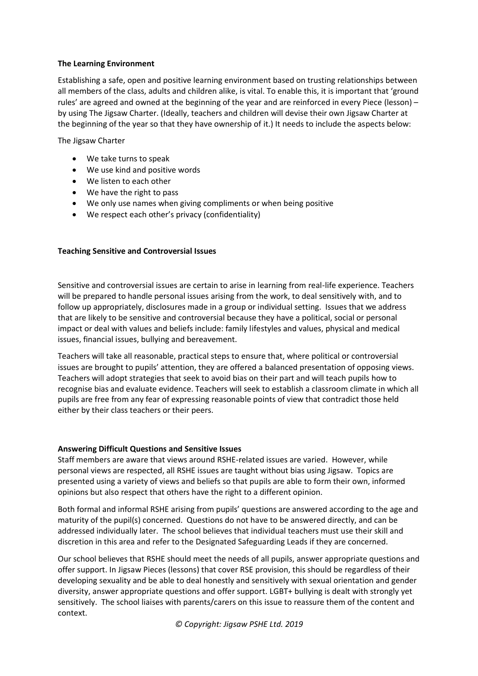#### **The Learning Environment**

Establishing a safe, open and positive learning environment based on trusting relationships between all members of the class, adults and children alike, is vital. To enable this, it is important that 'ground rules' are agreed and owned at the beginning of the year and are reinforced in every Piece (lesson) – by using The Jigsaw Charter. (Ideally, teachers and children will devise their own Jigsaw Charter at the beginning of the year so that they have ownership of it.) It needs to include the aspects below:

The Jigsaw Charter

- We take turns to speak
- We use kind and positive words
- We listen to each other
- We have the right to pass
- We only use names when giving compliments or when being positive
- We respect each other's privacy (confidentiality)

#### **Teaching Sensitive and Controversial Issues**

Sensitive and controversial issues are certain to arise in learning from real-life experience. Teachers will be prepared to handle personal issues arising from the work, to deal sensitively with, and to follow up appropriately, disclosures made in a group or individual setting. Issues that we address that are likely to be sensitive and controversial because they have a political, social or personal impact or deal with values and beliefs include: family lifestyles and values, physical and medical issues, financial issues, bullying and bereavement.

Teachers will take all reasonable, practical steps to ensure that, where political or controversial issues are brought to pupils' attention, they are offered a balanced presentation of opposing views. Teachers will adopt strategies that seek to avoid bias on their part and will teach pupils how to recognise bias and evaluate evidence. Teachers will seek to establish a classroom climate in which all pupils are free from any fear of expressing reasonable points of view that contradict those held either by their class teachers or their peers.

#### **Answering Difficult Questions and Sensitive Issues**

Staff members are aware that views around RSHE-related issues are varied. However, while personal views are respected, all RSHE issues are taught without bias using Jigsaw. Topics are presented using a variety of views and beliefs so that pupils are able to form their own, informed opinions but also respect that others have the right to a different opinion.

Both formal and informal RSHE arising from pupils' questions are answered according to the age and maturity of the pupil(s) concerned. Questions do not have to be answered directly, and can be addressed individually later. The school believes that individual teachers must use their skill and discretion in this area and refer to the Designated Safeguarding Leads if they are concerned.

Our school believes that RSHE should meet the needs of all pupils, answer appropriate questions and offer support. In Jigsaw Pieces (lessons) that cover RSE provision, this should be regardless of their developing sexuality and be able to deal honestly and sensitively with sexual orientation and gender diversity, answer appropriate questions and offer support. LGBT+ bullying is dealt with strongly yet sensitively. The school liaises with parents/carers on this issue to reassure them of the content and context.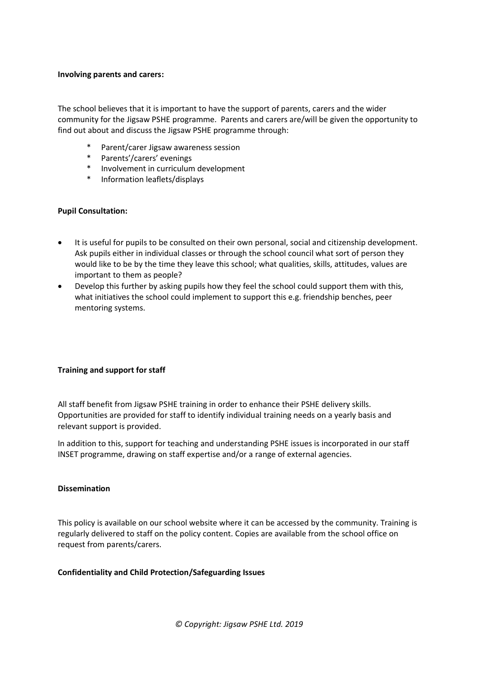#### **Involving parents and carers:**

The school believes that it is important to have the support of parents, carers and the wider community for the Jigsaw PSHE programme. Parents and carers are/will be given the opportunity to find out about and discuss the Jigsaw PSHE programme through:

- \* Parent/carer Jigsaw awareness session
- \* Parents'/carers' evenings
- Involvement in curriculum development
- Information leaflets/displays

#### **Pupil Consultation:**

- It is useful for pupils to be consulted on their own personal, social and citizenship development. Ask pupils either in individual classes or through the school council what sort of person they would like to be by the time they leave this school; what qualities, skills, attitudes, values are important to them as people?
- Develop this further by asking pupils how they feel the school could support them with this, what initiatives the school could implement to support this e.g. friendship benches, peer mentoring systems.

#### **Training and support for staff**

All staff benefit from Jigsaw PSHE training in order to enhance their PSHE delivery skills. Opportunities are provided for staff to identify individual training needs on a yearly basis and relevant support is provided.

In addition to this, support for teaching and understanding PSHE issues is incorporated in our staff INSET programme, drawing on staff expertise and/or a range of external agencies.

#### **Dissemination**

This policy is available on our school website where it can be accessed by the community. Training is regularly delivered to staff on the policy content. Copies are available from the school office on request from parents/carers.

#### **Confidentiality and Child Protection/Safeguarding Issues**